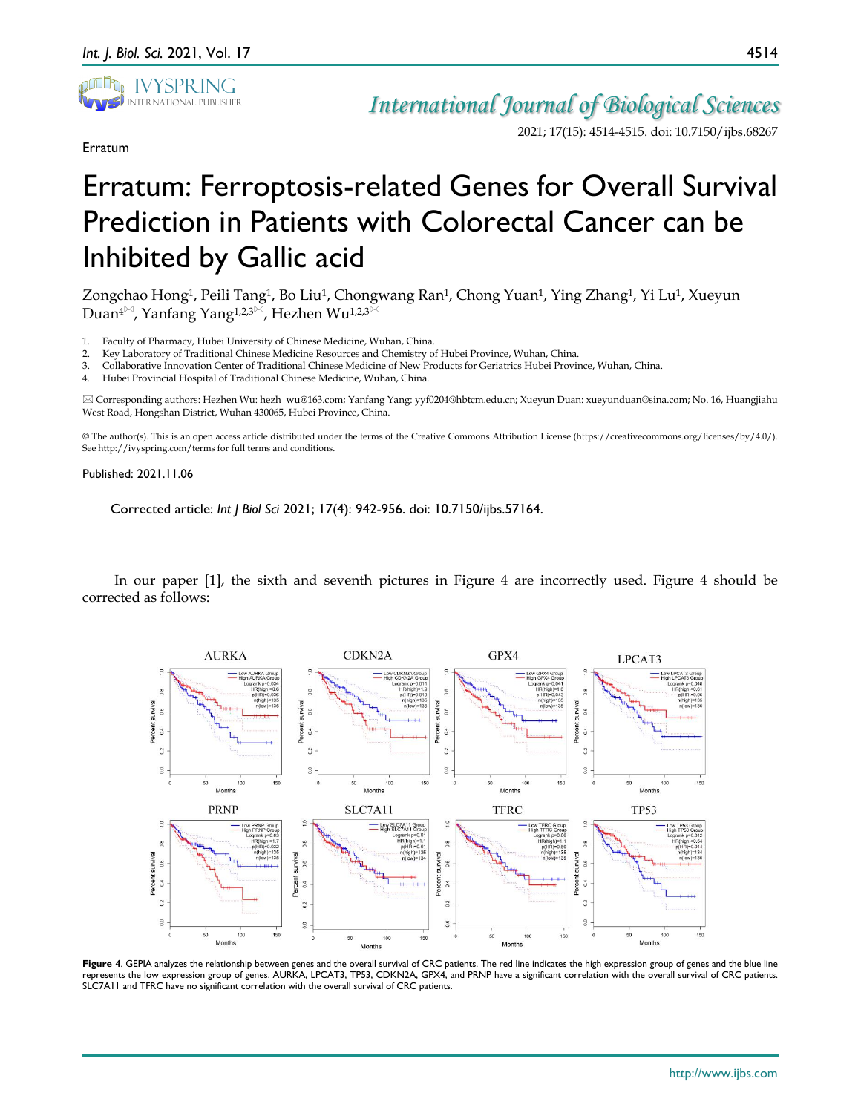

Erratum

## *International Journal of Biological Sciences*

2021; 17(15): 4514-4515. doi: 10.7150/ijbs.68267

## Erratum: Ferroptosis-related Genes for Overall Survival Prediction in Patients with Colorectal Cancer can be Inhibited by Gallic acid

Zongchao Hong<sup>1</sup>, Peili Tang<sup>1</sup>, Bo Liu<sup>1</sup>, Chongwang Ran<sup>1</sup>, Chong Yuan<sup>1</sup>, Ying Zhang<sup>1</sup>, Yi Lu<sup>1</sup>, Xueyun Duan<sup>4 $\boxtimes$ </sup>, Yanfang Yang<sup>1,2,3 $\boxtimes$ </sup>, Hezhen Wu<sup>1,2,3 $\boxtimes$ </sup>

1. Faculty of Pharmacy, Hubei University of Chinese Medicine, Wuhan, China.

2. Key Laboratory of Traditional Chinese Medicine Resources and Chemistry of Hubei Province, Wuhan, China.

3. Collaborative Innovation Center of Traditional Chinese Medicine of New Products for Geriatrics Hubei Province, Wuhan, China.

4. Hubei Provincial Hospital of Traditional Chinese Medicine, Wuhan, China.

 Corresponding authors: Hezhen Wu: hezh\_wu@163.com; Yanfang Yang: yyf0204@hbtcm.edu.cn; Xueyun Duan: xueyunduan@sina.com; No. 16, Huangjiahu West Road, Hongshan District, Wuhan 430065, Hubei Province, China.

© The author(s). This is an open access article distributed under the terms of the Creative Commons Attribution License (https://creativecommons.org/licenses/by/4.0/). See http://ivyspring.com/terms for full terms and conditions.

## Published: 2021.11.06

Corrected article: *Int J Biol Sci* 2021; 17(4): 942-956. doi: 10.7150/ijbs.57164.

In our paper [1], the sixth and seventh pictures in Figure 4 are incorrectly used. Figure 4 should be corrected as follows:



Figure 4. GEPIA analyzes the relationship between genes and the overall survival of CRC patients. The red line indicates the high expression group of genes and the blue line represents the low expression group of genes. AURKA, LPCAT3, TP53, CDKN2A, GPX4, and PRNP have a significant correlation with the overall survival of CRC patients. SLC7A11 and TFRC have no significant correlation with the overall survival of CRC patients